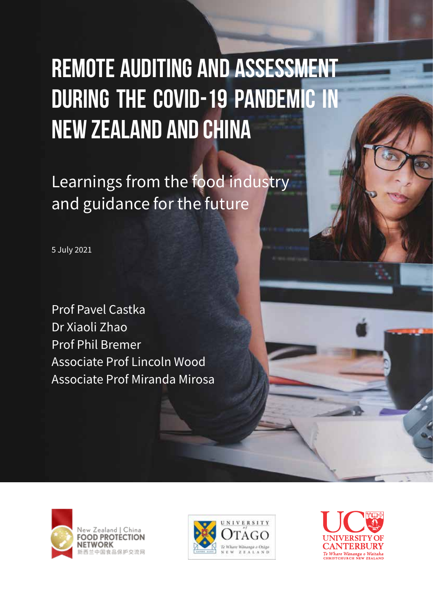# Remote Auditing and Assessment during the COVID-19 Pandemic in New Zealand and China

Learnings from the food industry and guidance for the future

5 July 2021

Prof Pavel Castka Dr Xiaoli Zhao Prof Phil Bremer Associate Prof Lincoln Wood Associate Prof Miranda Mirosa





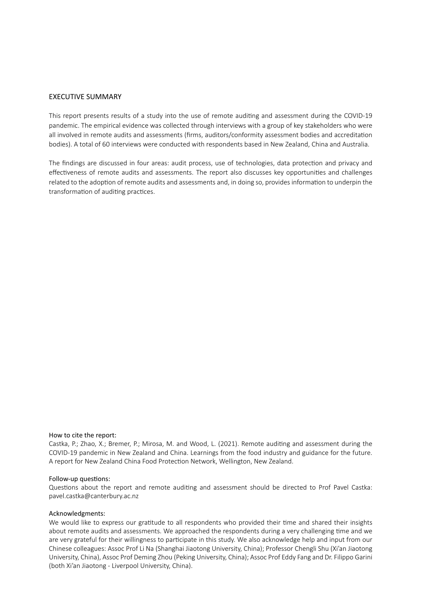#### EXECUTIVE SUMMARY

This report presents results of a study into the use of remote auditing and assessment during the COVID-19 pandemic. The empirical evidence was collected through interviews with a group of key stakeholders who were all involved in remote audits and assessments (firms, auditors/conformity assessment bodies and accreditation bodies). A total of 60 interviews were conducted with respondents based in New Zealand, China and Australia.

The findings are discussed in four areas: audit process, use of technologies, data protection and privacy and effectiveness of remote audits and assessments. The report also discusses key opportunities and challenges related to the adoption of remote audits and assessments and, in doing so, provides information to underpin the transformation of auditing practices.

#### How to cite the report:

Castka, P.; Zhao, X.; Bremer, P.; Mirosa, M. and Wood, L. (2021). Remote auditing and assessment during the COVID-19 pandemic in New Zealand and China. Learnings from the food industry and guidance for the future. A report for New Zealand China Food Protection Network, Wellington, New Zealand.

#### Follow-up questions:

Questions about the report and remote auditing and assessment should be directed to Prof Pavel Castka: pavel.castka@canterbury.ac.nz

#### Acknowledgments:

We would like to express our gratitude to all respondents who provided their time and shared their insights about remote audits and assessments. We approached the respondents during a very challenging time and we are very grateful for their willingness to participate in this study. We also acknowledge help and input from our Chinese colleagues: Assoc Prof Li Na (Shanghai Jiaotong University, China); Professor Chengli Shu (Xi'an Jiaotong University, China), Assoc Prof Deming Zhou (Peking University, China); Assoc Prof Eddy Fang and Dr. Filippo Garini (both Xi'an Jiaotong - Liverpool University, China).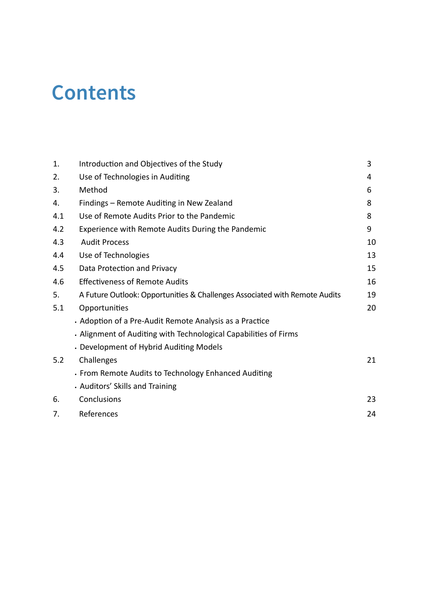### **Contents**

| 1.  | Introduction and Objectives of the Study                                   | 3  |
|-----|----------------------------------------------------------------------------|----|
| 2.  | Use of Technologies in Auditing                                            | 4  |
| 3.  | Method                                                                     | 6  |
| 4.  | Findings - Remote Auditing in New Zealand                                  | 8  |
| 4.1 | Use of Remote Audits Prior to the Pandemic                                 | 8  |
| 4.2 | Experience with Remote Audits During the Pandemic                          | 9  |
| 4.3 | <b>Audit Process</b>                                                       | 10 |
| 4.4 | Use of Technologies                                                        | 13 |
| 4.5 | Data Protection and Privacy                                                | 15 |
| 4.6 | <b>Effectiveness of Remote Audits</b>                                      | 16 |
| 5.  | A Future Outlook: Opportunities & Challenges Associated with Remote Audits | 19 |
| 5.1 | Opportunities                                                              | 20 |
|     | • Adoption of a Pre-Audit Remote Analysis as a Practice                    |    |
|     | . Alignment of Auditing with Technological Capabilities of Firms           |    |
|     | • Development of Hybrid Auditing Models                                    |    |
| 5.2 | Challenges                                                                 | 21 |
|     | • From Remote Audits to Technology Enhanced Auditing                       |    |
|     | . Auditors' Skills and Training                                            |    |
| 6.  | Conclusions                                                                | 23 |
| 7.  | References                                                                 | 24 |
|     |                                                                            |    |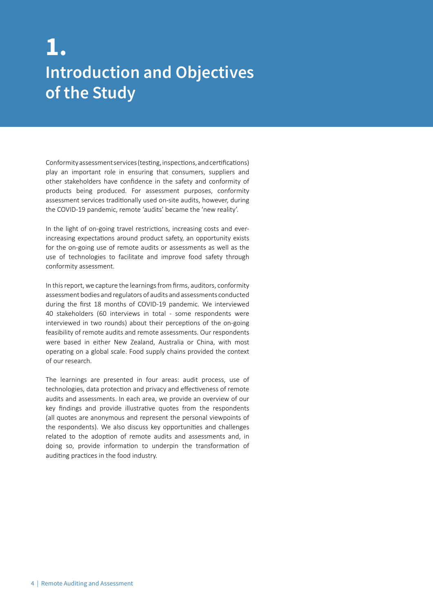### **Introduction and Objectives of the Study 1.**

Conformity assessment services (testing, inspections, and certifications) play an important role in ensuring that consumers, suppliers and other stakeholders have confidence in the safety and conformity of products being produced. For assessment purposes, conformity assessment services traditionally used on-site audits, however, during the COVID-19 pandemic, remote 'audits' became the 'new reality'.

In the light of on-going travel restrictions, increasing costs and everincreasing expectations around product safety, an opportunity exists for the on-going use of remote audits or assessments as well as the use of technologies to facilitate and improve food safety through conformity assessment.

In this report, we capture the learnings from firms, auditors, conformity assessment bodies and regulators of audits and assessments conducted during the first 18 months of COVID-19 pandemic. We interviewed 40 stakeholders (60 interviews in total - some respondents were interviewed in two rounds) about their perceptions of the on-going feasibility of remote audits and remote assessments. Our respondents were based in either New Zealand, Australia or China, with most operating on a global scale. Food supply chains provided the context of our research.

The learnings are presented in four areas: audit process, use of technologies, data protection and privacy and effectiveness of remote audits and assessments. In each area, we provide an overview of our key findings and provide illustrative quotes from the respondents (all quotes are anonymous and represent the personal viewpoints of the respondents). We also discuss key opportunities and challenges related to the adoption of remote audits and assessments and, in doing so, provide information to underpin the transformation of auditing practices in the food industry.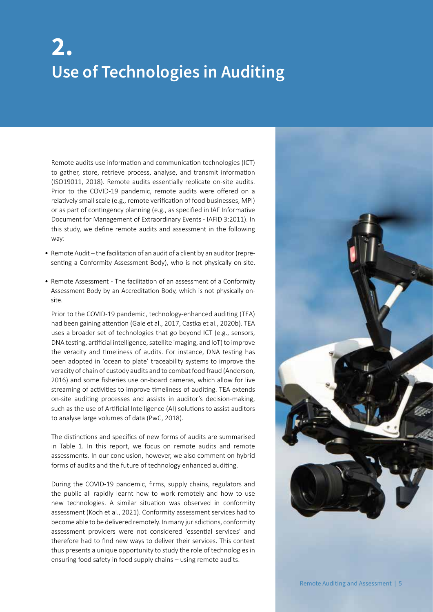### **Use of Technologies in Auditing 2.**

Remote audits use information and communication technologies (ICT) to gather, store, retrieve process, analyse, and transmit information (ISO19011, 2018). Remote audits essentially replicate on-site audits. Prior to the COVID-19 pandemic, remote audits were offered on a relatively small scale (e.g., remote verification of food businesses, MPI) or as part of contingency planning (e.g., as specified in IAF Informative Document for Management of Extraordinary Events - IAFID 3:2011). In this study, we define remote audits and assessment in the following way:

- Remote Audit the facilitation of an audit of a client by an auditor (representing a Conformity Assessment Body), who is not physically on-site.
- Remote Assessment The facilitation of an assessment of a Conformity Assessment Body by an Accreditation Body, which is not physically onsite.

Prior to the COVID-19 pandemic, technology-enhanced auditing (TEA) had been gaining attention (Gale et al., 2017, Castka et al., 2020b). TEA uses a broader set of technologies that go beyond ICT (e.g., sensors, DNA testing, artificial intelligence, satellite imaging, and IoT) to improve the veracity and timeliness of audits. For instance, DNA testing has been adopted in 'ocean to plate' traceability systems to improve the veracity of chain of custody audits and to combat food fraud (Anderson, 2016) and some fisheries use on-board cameras, which allow for live streaming of activities to improve timeliness of auditing. TEA extends on-site auditing processes and assists in auditor's decision-making, such as the use of Artificial Intelligence (AI) solutions to assist auditors to analyse large volumes of data (PwC, 2018).

The distinctions and specifics of new forms of audits are summarised in Table 1. In this report, we focus on remote audits and remote assessments. In our conclusion, however, we also comment on hybrid forms of audits and the future of technology enhanced auditing.

During the COVID-19 pandemic, firms, supply chains, regulators and the public all rapidly learnt how to work remotely and how to use new technologies. A similar situation was observed in conformity assessment (Koch et al., 2021). Conformity assessment services had to become able to be delivered remotely. In many jurisdictions, conformity assessment providers were not considered 'essential services' and therefore had to find new ways to deliver their services. This context thus presents a unique opportunity to study the role of technologies in ensuring food safety in food supply chains – using remote audits.

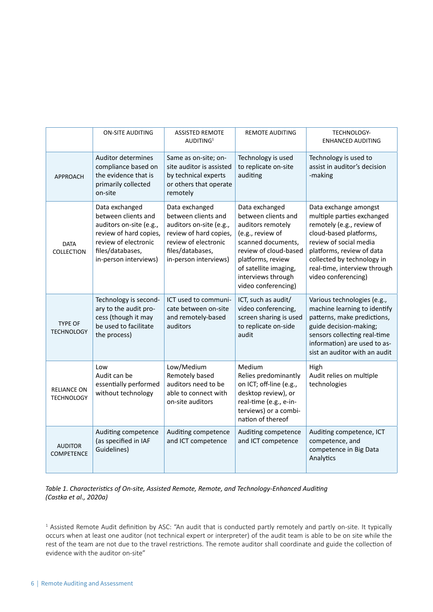|                                         | <b>ON-SITE AUDITING</b>                                                                                                                                         | <b>ASSISTED REMOTE</b><br>AUDITING <sup>1</sup>                                                                                                                 | <b>REMOTE AUDITING</b>                                                                                                                                                                                                   | <b>TECHNOLOGY-</b><br><b>ENHANCED AUDITING</b>                                                                                                                                                                                                         |
|-----------------------------------------|-----------------------------------------------------------------------------------------------------------------------------------------------------------------|-----------------------------------------------------------------------------------------------------------------------------------------------------------------|--------------------------------------------------------------------------------------------------------------------------------------------------------------------------------------------------------------------------|--------------------------------------------------------------------------------------------------------------------------------------------------------------------------------------------------------------------------------------------------------|
| <b>APPROACH</b>                         | <b>Auditor determines</b><br>compliance based on<br>the evidence that is<br>primarily collected<br>on-site                                                      | Same as on-site; on-<br>site auditor is assisted<br>by technical experts<br>or others that operate<br>remotely                                                  | Technology is used<br>to replicate on-site<br>auditing                                                                                                                                                                   | Technology is used to<br>assist in auditor's decision<br>-making                                                                                                                                                                                       |
| <b>DATA</b><br><b>COLLECTION</b>        | Data exchanged<br>between clients and<br>auditors on-site (e.g.,<br>review of hard copies,<br>review of electronic<br>files/databases,<br>in-person interviews) | Data exchanged<br>between clients and<br>auditors on-site (e.g.,<br>review of hard copies,<br>review of electronic<br>files/databases,<br>in-person interviews) | Data exchanged<br>between clients and<br>auditors remotely<br>(e.g., review of<br>scanned documents,<br>review of cloud-based<br>platforms, review<br>of satellite imaging,<br>interviews through<br>video conferencing) | Data exchange amongst<br>multiple parties exchanged<br>remotely (e.g., review of<br>cloud-based platforms,<br>review of social media<br>platforms, review of data<br>collected by technology in<br>real-time, interview through<br>video conferencing) |
| <b>TYPE OF</b><br><b>TECHNOLOGY</b>     | Technology is second-<br>ary to the audit pro-<br>cess (though it may<br>be used to facilitate<br>the process)                                                  | ICT used to communi-<br>cate between on-site<br>and remotely-based<br>auditors                                                                                  | ICT, such as audit/<br>video conferencing,<br>screen sharing is used<br>to replicate on-side<br>audit                                                                                                                    | Various technologies (e.g.,<br>machine learning to identify<br>patterns, make predictions,<br>guide decision-making;<br>sensors collecting real-time<br>information) are used to as-<br>sist an auditor with an audit                                  |
| <b>RELIANCE ON</b><br><b>TECHNOLOGY</b> | Low<br>Audit can be<br>essentially performed<br>without technology                                                                                              | Low/Medium<br>Remotely based<br>auditors need to be<br>able to connect with<br>on-site auditors                                                                 | Medium<br>Relies predominantly<br>on ICT; off-line (e.g.,<br>desktop review), or<br>real-time (e.g., e-in-<br>terviews) or a combi-<br>nation of thereof                                                                 | High<br>Audit relies on multiple<br>technologies                                                                                                                                                                                                       |
| <b>AUDITOR</b><br><b>COMPETENCE</b>     | Auditing competence<br>(as specified in IAF<br>Guidelines)                                                                                                      | Auditing competence<br>and ICT competence                                                                                                                       | Auditing competence<br>and ICT competence                                                                                                                                                                                | Auditing competence, ICT<br>competence, and<br>competence in Big Data<br>Analytics                                                                                                                                                                     |

#### *Table 1. Characteristics of On-site, Assisted Remote, Remote, and Technology-Enhanced Auditing (Castka et al., 2020a)*

<sup>&</sup>lt;sup>1</sup> Assisted Remote Audit definition by ASC: "An audit that is conducted partly remotely and partly on-site. It typically occurs when at least one auditor (not technical expert or interpreter) of the audit team is able to be on site while the rest of the team are not due to the travel restrictions. The remote auditor shall coordinate and guide the collection of evidence with the auditor on-site"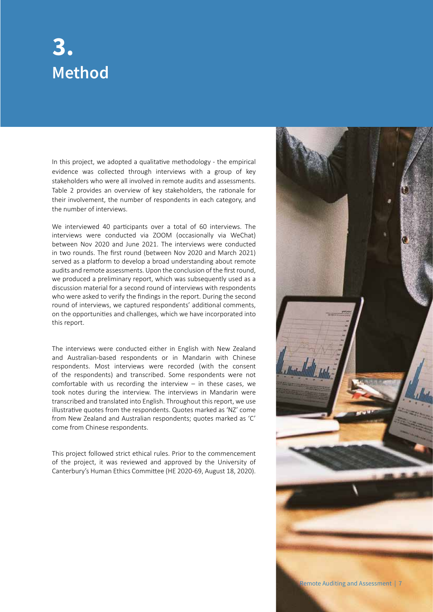### **Method 3.**

In this project, we adopted a qualitative methodology - the empirical evidence was collected through interviews with a group of key stakeholders who were all involved in remote audits and assessments. Table 2 provides an overview of key stakeholders, the rationale for their involvement, the number of respondents in each category, and the number of interviews.

We interviewed 40 participants over a total of 60 interviews. The interviews were conducted via ZOOM (occasionally via WeChat) between Nov 2020 and June 2021. The interviews were conducted in two rounds. The first round (between Nov 2020 and March 2021) served as a platform to develop a broad understanding about remote audits and remote assessments. Upon the conclusion of the first round, we produced a preliminary report, which was subsequently used as a discussion material for a second round of interviews with respondents who were asked to verify the findings in the report. During the second round of interviews, we captured respondents' additional comments, on the opportunities and challenges, which we have incorporated into this report.

The interviews were conducted either in English with New Zealand and Australian-based respondents or in Mandarin with Chinese respondents. Most interviews were recorded (with the consent of the respondents) and transcribed. Some respondents were not comfortable with us recording the interview  $-$  in these cases, we took notes during the interview. The interviews in Mandarin were transcribed and translated into English. Throughout this report, we use illustrative quotes from the respondents. Quotes marked as 'NZ' come from New Zealand and Australian respondents; quotes marked as 'C' come from Chinese respondents.

This project followed strict ethical rules. Prior to the commencement of the project, it was reviewed and approved by the University of Canterbury's Human Ethics Committee (HE 2020-69, August 18, 2020).

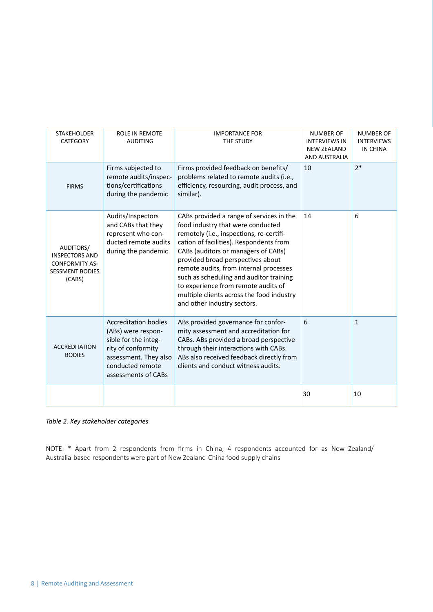| <b>STAKEHOLDER</b><br><b>CATEGORY</b>                                                           | <b>ROLE IN REMOTE</b><br><b>AUDITING</b>                                                                                                                            | <b>IMPORTANCE FOR</b><br>THE STUDY                                                                                                                                                                                                                                                                                                                                                                                                                       | <b>NUMBER OF</b><br><b>INTERVIEWS IN</b><br><b>NEW ZEALAND</b><br><b>AND AUSTRALIA</b> | <b>NUMBER OF</b><br><b>INTERVIEWS</b><br>IN CHINA |
|-------------------------------------------------------------------------------------------------|---------------------------------------------------------------------------------------------------------------------------------------------------------------------|----------------------------------------------------------------------------------------------------------------------------------------------------------------------------------------------------------------------------------------------------------------------------------------------------------------------------------------------------------------------------------------------------------------------------------------------------------|----------------------------------------------------------------------------------------|---------------------------------------------------|
| <b>FIRMS</b>                                                                                    | Firms subjected to<br>remote audits/inspec-<br>tions/certifications<br>during the pandemic                                                                          | Firms provided feedback on benefits/<br>problems related to remote audits (i.e.,<br>efficiency, resourcing, audit process, and<br>similar).                                                                                                                                                                                                                                                                                                              | 10                                                                                     | $2*$                                              |
| AUDITORS/<br><b>INSPECTORS AND</b><br><b>CONFORMITY AS-</b><br><b>SESSMENT BODIES</b><br>(CABS) | Audits/Inspectors<br>and CABs that they<br>represent who con-<br>ducted remote audits<br>during the pandemic                                                        | CABs provided a range of services in the<br>food industry that were conducted<br>remotely (i.e., inspections, re-certifi-<br>cation of facilities). Respondents from<br>CABs (auditors or managers of CABs)<br>provided broad perspectives about<br>remote audits, from internal processes<br>such as scheduling and auditor training<br>to experience from remote audits of<br>multiple clients across the food industry<br>and other industry sectors. | 14                                                                                     | 6                                                 |
| <b>ACCREDITATION</b><br><b>BODIES</b>                                                           | <b>Accreditation bodies</b><br>(ABs) were respon-<br>sible for the integ-<br>rity of conformity<br>assessment. They also<br>conducted remote<br>assessments of CABs | ABs provided governance for confor-<br>mity assessment and accreditation for<br>CABs. ABs provided a broad perspective<br>through their interactions with CABs.<br>ABs also received feedback directly from<br>clients and conduct witness audits.                                                                                                                                                                                                       | 6                                                                                      | $\mathbf{1}$                                      |
|                                                                                                 |                                                                                                                                                                     |                                                                                                                                                                                                                                                                                                                                                                                                                                                          | 30                                                                                     | 10                                                |

*Table 2. Key stakeholder categories*

NOTE: \* Apart from 2 respondents from firms in China, 4 respondents accounted for as New Zealand/ Australia-based respondents were part of New Zealand-China food supply chains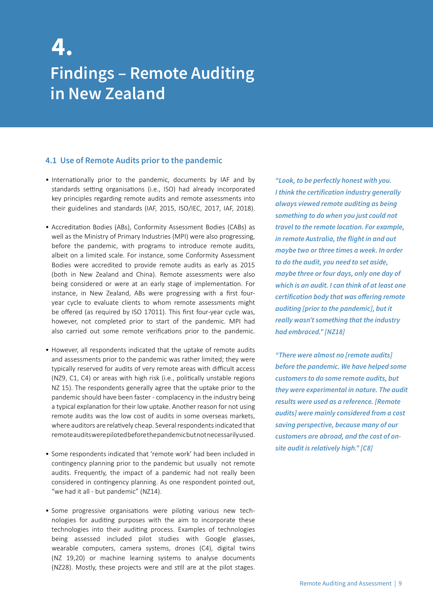### **Findings – Remote Auditing in New Zealand 4.**

#### **4.1 Use of Remote Audits prior to the pandemic**

- Internationally prior to the pandemic, documents by IAF and by standards setting organisations (i.e., ISO) had already incorporated key principles regarding remote audits and remote assessments into their guidelines and standards (IAF, 2015, ISO/IEC, 2017, IAF, 2018).
- Accreditation Bodies (ABs), Conformity Assessment Bodies (CABs) as well as the Ministry of Primary Industries (MPI) were also progressing, before the pandemic, with programs to introduce remote audits, albeit on a limited scale. For instance, some Conformity Assessment Bodies were accredited to provide remote audits as early as 2015 (both in New Zealand and China). Remote assessments were also being considered or were at an early stage of implementation. For instance, in New Zealand, ABs were progressing with a first fouryear cycle to evaluate clients to whom remote assessments might be offered (as required by ISO 17011). This first four-year cycle was, however, not completed prior to start of the pandemic. MPI had also carried out some remote verifications prior to the pandemic.
- However, all respondents indicated that the uptake of remote audits and assessments prior to the pandemic was rather limited; they were typically reserved for audits of very remote areas with difficult access (NZ9, C1, C4) or areas with high risk (i.e., politically unstable regions NZ 15). The respondents generally agree that the uptake prior to the pandemic should have been faster - complacency in the industry being a typical explanation for their low uptake. Another reason for not using remote audits was the low cost of audits in some overseas markets, where auditors are relatively cheap. Several respondents indicated that remote audits were piloted before the pandemic but not necessarily used.
- Some respondents indicated that 'remote work' had been included in contingency planning prior to the pandemic but usually not remote audits. Frequently, the impact of a pandemic had not really been considered in contingency planning. As one respondent pointed out, "we had it all - but pandemic" (NZ14).
- Some progressive organisations were piloting various new technologies for auditing purposes with the aim to incorporate these technologies into their auditing process. Examples of technologies being assessed included pilot studies with Google glasses, wearable computers, camera systems, drones (C4), digital twins (NZ 19,20) or machine learning systems to analyse documents (NZ28). Mostly, these projects were and still are at the pilot stages.

*"Look, to be perfectly honest with you. I think the certification industry generally always viewed remote auditing as being something to do when you just could not travel to the remote location. For example, in remote Australia, the flight in and out maybe two or three times a week. In order to do the audit, you need to set aside, maybe three or four days, only one day of which is an audit. I can think of at least one certification body that was offering remote auditing [prior to the pandemic], but it really wasn't something that the industry had embraced." [NZ18]*

*"There were almost no [remote audits] before the pandemic. We have helped some customers to do some remote audits, but they were experimental in nature. The audit results were used as a reference. [Remote audits] were mainly considered from a cost saving perspective, because many of our customers are abroad, and the cost of onsite audit is relatively high." [C8]*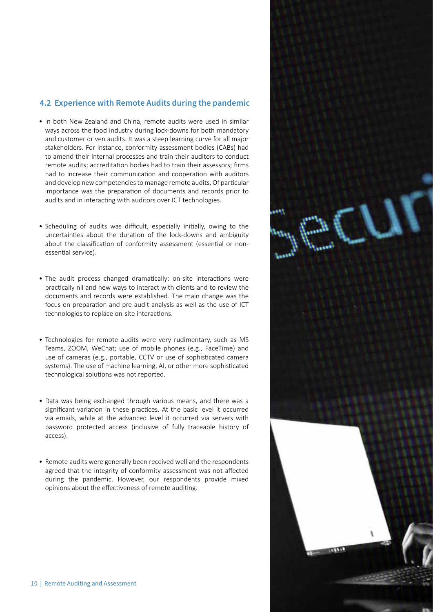#### **4.2 Experience with Remote Audits during the pandemic**

- In both New Zealand and China, remote audits were used in similar ways across the food industry during lock-downs for both mandatory and customer driven audits. It was a steep learning curve for all major stakeholders. For instance, conformity assessment bodies (CABs) had to amend their internal processes and train their auditors to conduct remote audits; accreditation bodies had to train their assessors; firms had to increase their communication and cooperation with auditors and develop new competencies to manage remote audits. Of particular importance was the preparation of documents and records prior to audits and in interacting with auditors over ICT technologies.
- Scheduling of audits was difficult, especially initially, owing to the uncertainties about the duration of the lock-downs and ambiguity about the classification of conformity assessment (essential or nonessential service).
- The audit process changed dramatically: on-site interactions were practically nil and new ways to interact with clients and to review the documents and records were established. The main change was the focus on preparation and pre-audit analysis as well as the use of ICT technologies to replace on-site interactions.
- Technologies for remote audits were very rudimentary, such as MS Teams, ZOOM, WeChat; use of mobile phones (e.g., FaceTime) and use of cameras (e.g., portable, CCTV or use of sophisticated camera systems). The use of machine learning, AI, or other more sophisticated technological solutions was not reported.
- Data was being exchanged through various means, and there was a significant variation in these practices. At the basic level it occurred via emails, while at the advanced level it occurred via servers with password protected access (inclusive of fully traceable history of access).
- Remote audits were generally been received well and the respondents agreed that the integrity of conformity assessment was not affected during the pandemic. However, our respondents provide mixed opinions about the effectiveness of remote auditing.

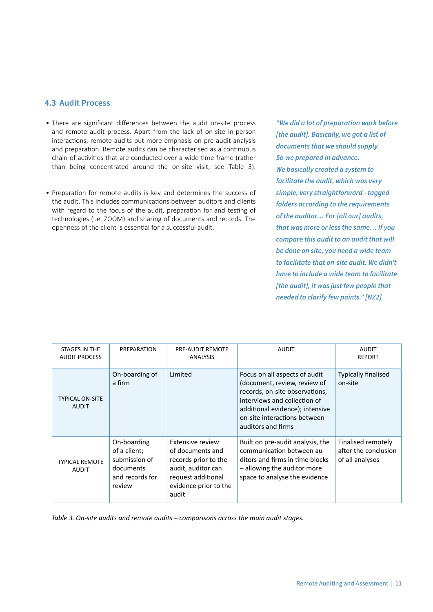#### **4.3 Audit Process**

- There are significant differences between the audit on-site process and remote audit process. Apart from the lack of on-site in-person interactions, remote audits put more emphasis on pre-audit analysis and preparation. Remote audits can be characterised as a continuous chain of activities that are conducted over a wide time frame (rather than being concentrated around the on-site visit; see Table 3).
- Preparation for remote audits is key and determines the success of the audit. This includes communications between auditors and clients with regard to the focus of the audit, preparation for and testing of technologies (i.e. ZOOM) and sharing of documents and records. The openness of the client is essential for a successful audit.

*"We did a lot of preparation work before [the audit]. Basically, we got a list of documents that we should supply. So we prepared in advance. We basically created a system to facilitate the audit, which was very simple, very straightforward - tagged folders according to the requirements of the auditor… For [all our] audits, that was more or less the same… If you compare this audit to an audit that will be done on site, you need a wide team to facilitate that on-site audit. We didn't have to include a wide team to facilitate [the audit], it was just few people that needed to clarify few points." [NZ2]*

| STAGES IN THE<br><b>AUDIT PROCESS</b>  | PREPARATION                                                                            | <b>PRE-AUDIT REMOTE</b><br><b>ANALYSIS</b>                                                                                                        | <b>AUDIT</b>                                                                                                                                                                                                             | <b>AUDIT</b><br><b>REPORT</b>                                 |
|----------------------------------------|----------------------------------------------------------------------------------------|---------------------------------------------------------------------------------------------------------------------------------------------------|--------------------------------------------------------------------------------------------------------------------------------------------------------------------------------------------------------------------------|---------------------------------------------------------------|
| <b>TYPICAL ON-SITE</b><br><b>AUDIT</b> | On-boarding of<br>a firm                                                               | Limited                                                                                                                                           | Focus on all aspects of audit<br>(document, review, review of<br>records, on-site observations,<br>interviews and collection of<br>additional evidence); intensive<br>on-site interactions between<br>auditors and firms | <b>Typically finalised</b><br>on-site                         |
| <b>TYPICAL REMOTE</b><br><b>AUDIT</b>  | On-boarding<br>of a client;<br>submission of<br>documents<br>and records for<br>review | <b>Extensive review</b><br>of documents and<br>records prior to the<br>audit, auditor can<br>request additional<br>evidence prior to the<br>audit | Built on pre-audit analysis, the<br>communication between au-<br>ditors and firms in time blocks<br>- allowing the auditor more<br>space to analyse the evidence                                                         | Finalised remotely<br>after the conclusion<br>of all analyses |

*Table 3. On-site audits and remote audits – comparisons across the main audit stages.*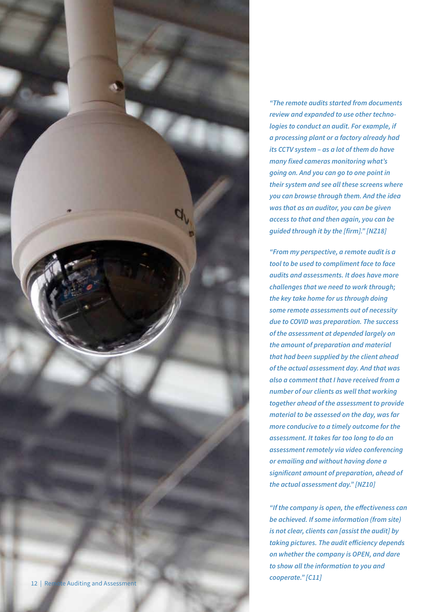

*"The remote audits started from documents review and expanded to use other technologies to conduct an audit. For example, if a processing plant or a factory already had its CCTV system – as a lot of them do have many fixed cameras monitoring what's going on. And you can go to one point in their system and see all these screens where you can browse through them. And the idea was that as an auditor, you can be given access to that and then again, you can be guided through it by the [firm]." [NZ18]*

*"From my perspective, a remote audit is a tool to be used to compliment face to face audits and assessments. It does have more challenges that we need to work through; the key take home for us through doing some remote assessments out of necessity due to COVID was preparation. The success of the assessment at depended largely on the amount of preparation and material that had been supplied by the client ahead of the actual assessment day. And that was also a comment that I have received from a number of our clients as well that working together ahead of the assessment to provide material to be assessed on the day, was far more conducive to a timely outcome for the assessment. It takes far too long to do an assessment remotely via video conferencing or emailing and without having done a significant amount of preparation, ahead of the actual assessment day." [NZ10]*

*"If the company is open, the effectiveness can be achieved. If some information (from site) is not clear, clients can [assist the audit] by taking pictures. The audit efficiency depends on whether the company is OPEN, and dare to show all the information to you and cooperate." [C11]*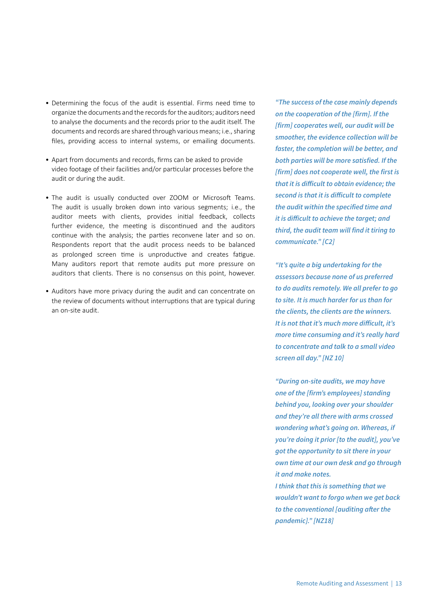- Determining the focus of the audit is essential. Firms need time to organize the documents and the records for the auditors; auditors need to analyse the documents and the records prior to the audit itself. The documents and records are shared through various means; i.e., sharing files, providing access to internal systems, or emailing documents.
- Apart from documents and records, firms can be asked to provide video footage of their facilities and/or particular processes before the audit or during the audit.
- The audit is usually conducted over ZOOM or Microsoft Teams. The audit is usually broken down into various segments; i.e., the auditor meets with clients, provides initial feedback, collects further evidence, the meeting is discontinued and the auditors continue with the analysis; the parties reconvene later and so on. Respondents report that the audit process needs to be balanced as prolonged screen time is unproductive and creates fatigue. Many auditors report that remote audits put more pressure on auditors that clients. There is no consensus on this point, however.
- Auditors have more privacy during the audit and can concentrate on the review of documents without interruptions that are typical during an on-site audit.

*"The success of the case mainly depends on the cooperation of the [firm]. If the [firm] cooperates well, our audit will be smoother, the evidence collection will be faster, the completion will be better, and both parties will be more satisfied. If the [firm] does not cooperate well, the first is that it is difficult to obtain evidence; the second is that it is difficult to complete the audit within the specified time and it is difficult to achieve the target; and third, the audit team will find it tiring to communicate." [C2]* 

*"It's quite a big undertaking for the assessors because none of us preferred to do audits remotely. We all prefer to go to site. It is much harder for us than for the clients, the clients are the winners. It is not that it's much more difficult, it's more time consuming and it's really hard to concentrate and talk to a small video screen all day." [NZ 10]*

*"During on-site audits, we may have one of the [firm's employees] standing behind you, looking over your shoulder and they're all there with arms crossed wondering what's going on. Whereas, if you're doing it prior [to the audit], you've got the opportunity to sit there in your own time at our own desk and go through it and make notes.* 

*I think that this is something that we wouldn't want to forgo when we get back to the conventional [auditing after the pandemic]." [NZ18]*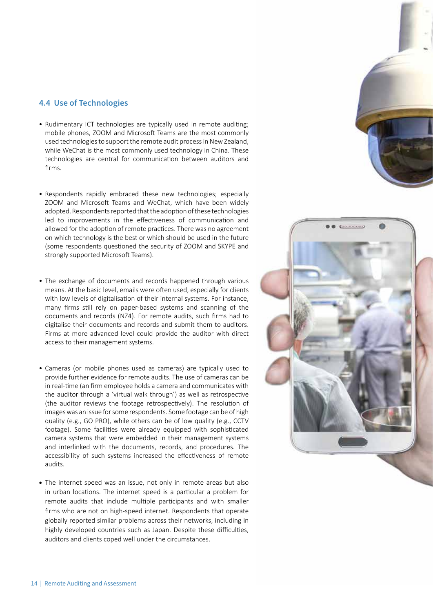#### **4.4 Use of Technologies**

- Rudimentary ICT technologies are typically used in remote auditing; mobile phones, ZOOM and Microsoft Teams are the most commonly used technologies to support the remote audit process in New Zealand, while WeChat is the most commonly used technology in China. These technologies are central for communication between auditors and firms.
- Respondents rapidly embraced these new technologies; especially ZOOM and Microsoft Teams and WeChat, which have been widely adopted. Respondents reported that the adoption of these technologies led to improvements in the effectiveness of communication and allowed for the adoption of remote practices. There was no agreement on which technology is the best or which should be used in the future (some respondents questioned the security of ZOOM and SKYPE and strongly supported Microsoft Teams).
- The exchange of documents and records happened through various means. At the basic level, emails were often used, especially for clients with low levels of digitalisation of their internal systems. For instance, many firms still rely on paper-based systems and scanning of the documents and records (NZ4). For remote audits, such firms had to digitalise their documents and records and submit them to auditors. Firms at more advanced level could provide the auditor with direct access to their management systems.
- Cameras (or mobile phones used as cameras) are typically used to provide further evidence for remote audits. The use of cameras can be in real-time (an firm employee holds a camera and communicates with the auditor through a 'virtual walk through') as well as retrospective (the auditor reviews the footage retrospectively). The resolution of images was an issue for some respondents. Some footage can be of high quality (e.g., GO PRO), while others can be of low quality (e.g., CCTV footage). Some facilities were already equipped with sophisticated camera systems that were embedded in their management systems and interlinked with the documents, records, and procedures. The accessibility of such systems increased the effectiveness of remote audits.
- The internet speed was an issue, not only in remote areas but also in urban locations. The internet speed is a particular a problem for remote audits that include multiple participants and with smaller firms who are not on high-speed internet. Respondents that operate globally reported similar problems across their networks, including in highly developed countries such as Japan. Despite these difficulties, auditors and clients coped well under the circumstances.

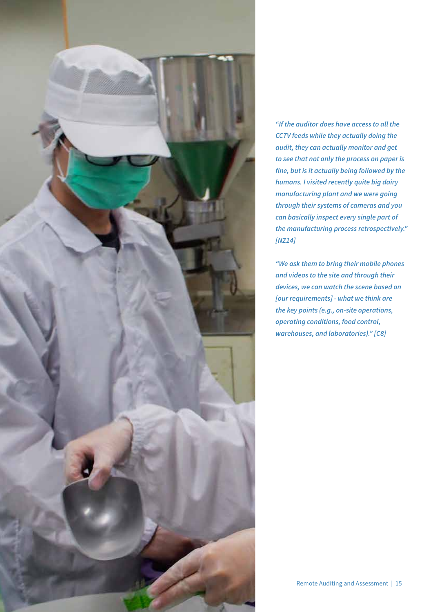

*"If the auditor does have access to all the CCTV feeds while they actually doing the audit, they can actually monitor and get to see that not only the process on paper is fine, but is it actually being followed by the humans. I visited recently quite big dairy manufacturing plant and we were going through their systems of cameras and you can basically inspect every single part of the manufacturing process retrospectively." [NZ14]*

*"We ask them to bring their mobile phones and videos to the site and through their devices, we can watch the scene based on [our requirements] - what we think are the key points (e.g., on-site operations, operating conditions, food control, warehouses, and laboratories)." [C8]*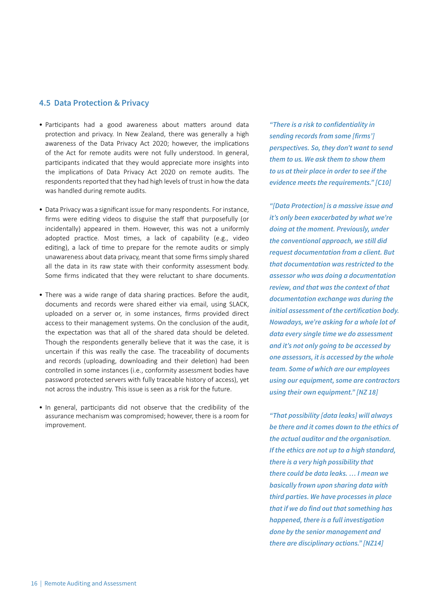#### **4.5 Data Protection & Privacy**

- Participants had a good awareness about matters around data protection and privacy. In New Zealand, there was generally a high awareness of the Data Privacy Act 2020; however, the implications of the Act for remote audits were not fully understood. In general, participants indicated that they would appreciate more insights into the implications of Data Privacy Act 2020 on remote audits. The respondents reported that they had high levels of trust in how the data was handled during remote audits.
- Data Privacy was a significant issue for many respondents. For instance, firms were editing videos to disguise the staff that purposefully (or incidentally) appeared in them. However, this was not a uniformly adopted practice. Most times, a lack of capability (e.g., video editing), a lack of time to prepare for the remote audits or simply unawareness about data privacy, meant that some firms simply shared all the data in its raw state with their conformity assessment body. Some firms indicated that they were reluctant to share documents.
- There was a wide range of data sharing practices. Before the audit, documents and records were shared either via email, using SLACK, uploaded on a server or, in some instances, firms provided direct access to their management systems. On the conclusion of the audit, the expectation was that all of the shared data should be deleted. Though the respondents generally believe that it was the case, it is uncertain if this was really the case. The traceability of documents and records (uploading, downloading and their deletion) had been controlled in some instances (i.e., conformity assessment bodies have password protected servers with fully traceable history of access), yet not across the industry. This issue is seen as a risk for the future.
- In general, participants did not observe that the credibility of the assurance mechanism was compromised; however, there is a room for improvement.

*"There is a risk to confidentiality in sending records from some [firms'] perspectives. So, they don't want to send them to us. We ask them to show them to us at their place in order to see if the evidence meets the requirements." [C10]*

*"[Data Protection] is a massive issue and it's only been exacerbated by what we're doing at the moment. Previously, under the conventional approach, we still did request documentation from a client. But that documentation was restricted to the assessor who was doing a documentation review, and that was the context of that documentation exchange was during the initial assessment of the certification body. Nowadays, we're asking for a whole lot of data every single time we do assessment and it's not only going to be accessed by one assessors, it is accessed by the whole team. Some of which are our employees using our equipment, some are contractors using their own equipment." [NZ 18]*

*"That possibility [data leaks] will always be there and it comes down to the ethics of the actual auditor and the organisation. If the ethics are not up to a high standard, there is a very high possibility that there could be data leaks. … I mean we basically frown upon sharing data with third parties. We have processes in place that if we do find out that something has happened, there is a full investigation done by the senior management and there are disciplinary actions." [NZ14]*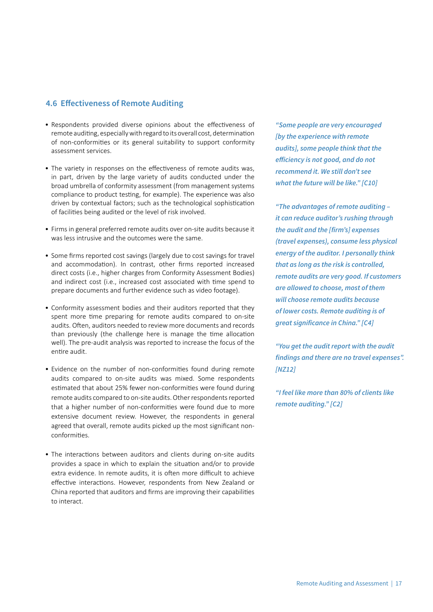#### **4.6 Effectiveness of Remote Auditing**

- Respondents provided diverse opinions about the effectiveness of remote auditing, especially with regard to its overall cost, determination of non-conformities or its general suitability to support conformity assessment services.
- The variety in responses on the effectiveness of remote audits was, in part, driven by the large variety of audits conducted under the broad umbrella of conformity assessment (from management systems compliance to product testing, for example). The experience was also driven by contextual factors; such as the technological sophistication of facilities being audited or the level of risk involved.
- Firms in general preferred remote audits over on-site audits because it was less intrusive and the outcomes were the same.
- Some firms reported cost savings (largely due to cost savings for travel and accommodation). In contrast, other firms reported increased direct costs (i.e., higher charges from Conformity Assessment Bodies) and indirect cost (i.e., increased cost associated with time spend to prepare documents and further evidence such as video footage).
- Conformity assessment bodies and their auditors reported that they spent more time preparing for remote audits compared to on-site audits. Often, auditors needed to review more documents and records than previously (the challenge here is manage the time allocation well). The pre-audit analysis was reported to increase the focus of the entire audit.
- Evidence on the number of non-conformities found during remote audits compared to on-site audits was mixed. Some respondents estimated that about 25% fewer non-conformities were found during remote audits compared to on-site audits. Other respondents reported that a higher number of non-conformities were found due to more extensive document review. However, the respondents in general agreed that overall, remote audits picked up the most significant nonconformities.
- The interactions between auditors and clients during on-site audits provides a space in which to explain the situation and/or to provide extra evidence. In remote audits, it is often more difficult to achieve effective interactions. However, respondents from New Zealand or China reported that auditors and firms are improving their capabilities to interact.

*"Some people are very encouraged [by the experience with remote audits], some people think that the efficiency is not good, and do not recommend it. We still don't see what the future will be like." [C10]*

*"The advantages of remote auditing – it can reduce auditor's rushing through the audit and the [firm's] expenses (travel expenses), consume less physical energy of the auditor. I personally think that as long as the risk is controlled, remote audits are very good. If customers are allowed to choose, most of them will choose remote audits because of lower costs. Remote auditing is of great significance in China." [C4]*

*"You get the audit report with the audit findings and there are no travel expenses". [NZ12]*

*"I feel like more than 80% of clients like remote auditing." [C2]*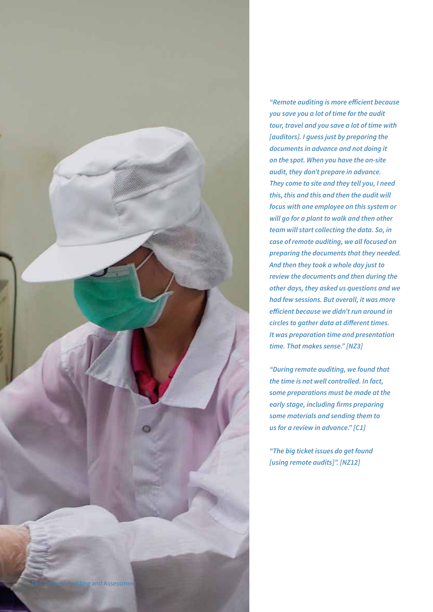

*"Remote auditing is more efficient because you save you a lot of time for the audit tour, travel and you save a lot of time with [auditors]. I guess just by preparing the documents in advance and not doing it on the spot. When you have the on-site audit, they don't prepare in advance. They come to site and they tell you, I need this, this and this and then the audit will focus with one employee on this system or will go for a plant to walk and then other team will start collecting the data. So, in case of remote auditing, we all focused on preparing the documents that they needed. And then they took a whole day just to review the documents and then during the other days, they asked us questions and we had few sessions. But overall, it was more efficient because we didn't run around in circles to gather data at different times. It was preparation time and presentation time. That makes sense." [NZ3]*

*"During remote auditing, we found that the time is not well controlled. In fact, some preparations must be made at the early stage, including firms preparing some materials and sending them to us for a review in advance." [C1]*

*"The big ticket issues do get found [using remote audits]". [NZ12]*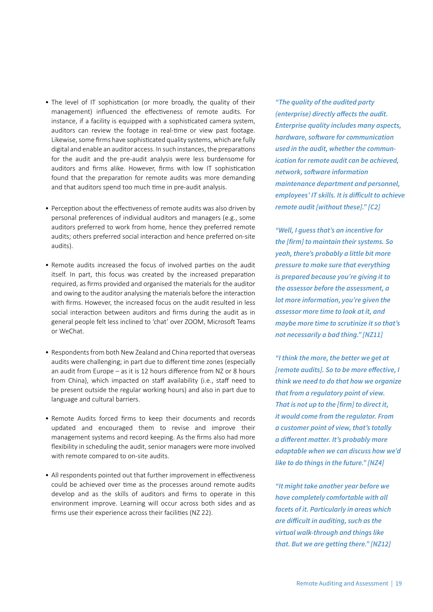- The level of IT sophistication (or more broadly, the quality of their management) influenced the effectiveness of remote audits. For instance, if a facility is equipped with a sophisticated camera system, auditors can review the footage in real-time or view past footage. Likewise, some firms have sophisticated quality systems, which are fully digital and enable an auditor access. In such instances, the preparations for the audit and the pre-audit analysis were less burdensome for auditors and firms alike. However, firms with low IT sophistication found that the preparation for remote audits was more demanding and that auditors spend too much time in pre-audit analysis.
- Perception about the effectiveness of remote audits was also driven by personal preferences of individual auditors and managers (e.g., some auditors preferred to work from home, hence they preferred remote audits; others preferred social interaction and hence preferred on-site audits).
- Remote audits increased the focus of involved parties on the audit itself. In part, this focus was created by the increased preparation required, as firms provided and organised the materials for the auditor and owing to the auditor analysing the materials before the interaction with firms. However, the increased focus on the audit resulted in less social interaction between auditors and firms during the audit as in general people felt less inclined to 'chat' over ZOOM, Microsoft Teams or WeChat.
- Respondents from both New Zealand and China reported that overseas audits were challenging; in part due to different time zones (especially an audit from Europe – as it is 12 hours difference from NZ or 8 hours from China), which impacted on staff availability (i.e., staff need to be present outside the regular working hours) and also in part due to language and cultural barriers.
- Remote Audits forced firms to keep their documents and records updated and encouraged them to revise and improve their management systems and record keeping. As the firms also had more flexibility in scheduling the audit, senior managers were more involved with remote compared to on-site audits.
- All respondents pointed out that further improvement in effectiveness could be achieved over time as the processes around remote audits develop and as the skills of auditors and firms to operate in this environment improve. Learning will occur across both sides and as firms use their experience across their facilities (NZ 22).

*"The quality of the audited party (enterprise) directly affects the audit. Enterprise quality includes many aspects, hardware, software for communication used in the audit, whether the communication for remote audit can be achieved, network, software information maintenance department and personnel, employees' IT skills. It is difficult to achieve remote audit [without these]." [C2]*

*"Well, I guess that's an incentive for the [firm] to maintain their systems. So yeah, there's probably a little bit more pressure to make sure that everything is prepared because you're giving it to the assessor before the assessment, a lot more information, you're given the assessor more time to look at it, and maybe more time to scrutinize it so that's not necessarily a bad thing." [NZ11]*

*"I think the more, the better we get at [remote audits]. So to be more effective, I think we need to do that how we organize that from a regulatory point of view. That is not up to the [firm] to direct it, it would come from the regulator. From a customer point of view, that's totally a different matter. It's probably more adaptable when we can discuss how we'd like to do things in the future." [NZ4]*

*"It might take another year before we have completely comfortable with all facets of it. Particularly in areas which are difficult in auditing, such as the virtual walk-through and things like that. But we are getting there." [NZ12]*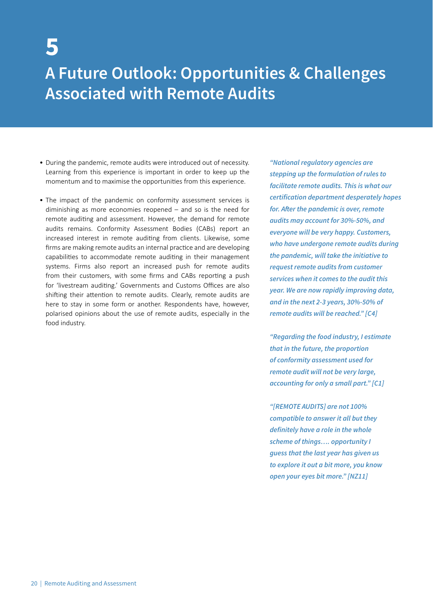## **5**

### **A Future Outlook: Opportunities & Challenges Associated with Remote Audits**

- During the pandemic, remote audits were introduced out of necessity. Learning from this experience is important in order to keep up the momentum and to maximise the opportunities from this experience.
- The impact of the pandemic on conformity assessment services is diminishing as more economies reopened – and so is the need for remote auditing and assessment. However, the demand for remote audits remains. Conformity Assessment Bodies (CABs) report an increased interest in remote auditing from clients. Likewise, some firms are making remote audits an internal practice and are developing capabilities to accommodate remote auditing in their management systems. Firms also report an increased push for remote audits from their customers, with some firms and CABs reporting a push for 'livestream auditing.' Governments and Customs Offices are also shifting their attention to remote audits. Clearly, remote audits are here to stay in some form or another. Respondents have, however, polarised opinions about the use of remote audits, especially in the food industry.

*"National regulatory agencies are stepping up the formulation of rules to facilitate remote audits. This is what our certification department desperately hopes for. After the pandemic is over, remote audits may account for 30%-50%, and everyone will be very happy. Customers, who have undergone remote audits during the pandemic, will take the initiative to request remote audits from customer services when it comes to the audit this year. We are now rapidly improving data, and in the next 2-3 years, 30%-50% of remote audits will be reached." [C4]*

*"Regarding the food industry, I estimate that in the future, the proportion of conformity assessment used for remote audit will not be very large, accounting for only a small part." [C1]*

*"[REMOTE AUDITS] are not 100% compatible to answer it all but they definitely have a role in the whole scheme of things…. opportunity I guess that the last year has given us to explore it out a bit more, you know open your eyes bit more." [NZ11]*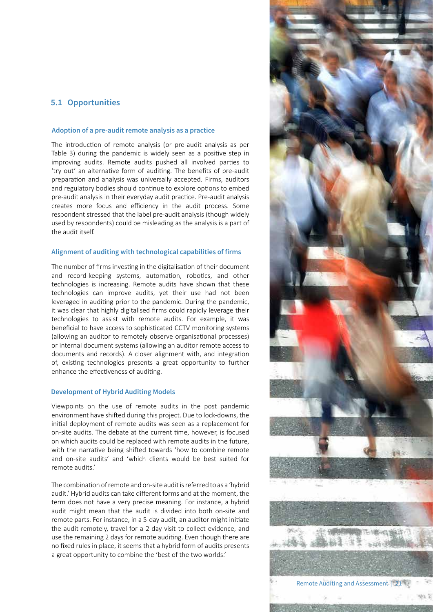#### **5.1 Opportunities**

#### **Adoption of a pre-audit remote analysis as a practice**

The introduction of remote analysis (or pre-audit analysis as per Table 3) during the pandemic is widely seen as a positive step in improving audits. Remote audits pushed all involved parties to 'try out' an alternative form of auditing. The benefits of pre-audit preparation and analysis was universally accepted. Firms, auditors and regulatory bodies should continue to explore options to embed pre-audit analysis in their everyday audit practice. Pre-audit analysis creates more focus and efficiency in the audit process. Some respondent stressed that the label pre-audit analysis (though widely used by respondents) could be misleading as the analysis is a part of the audit itself.

#### **Alignment of auditing with technological capabilities of firms**

The number of firms investing in the digitalisation of their document and record-keeping systems, automation, robotics, and other technologies is increasing. Remote audits have shown that these technologies can improve audits, yet their use had not been leveraged in auditing prior to the pandemic. During the pandemic, it was clear that highly digitalised firms could rapidly leverage their technologies to assist with remote audits. For example, it was beneficial to have access to sophisticated CCTV monitoring systems (allowing an auditor to remotely observe organisational processes) or internal document systems (allowing an auditor remote access to documents and records). A closer alignment with, and integration of, existing technologies presents a great opportunity to further enhance the effectiveness of auditing.

#### **Development of Hybrid Auditing Models**

Viewpoints on the use of remote audits in the post pandemic environment have shifted during this project. Due to lock-downs, the initial deployment of remote audits was seen as a replacement for on-site audits. The debate at the current time, however, is focused on which audits could be replaced with remote audits in the future, with the narrative being shifted towards 'how to combine remote and on-site audits' and 'which clients would be best suited for remote audits.'

The combination of remote and on-site audit is referred to as a 'hybrid audit.' Hybrid audits can take different forms and at the moment, the term does not have a very precise meaning. For instance, a hybrid audit might mean that the audit is divided into both on-site and remote parts. For instance, in a 5-day audit, an auditor might initiate the audit remotely, travel for a 2-day visit to collect evidence, and use the remaining 2 days for remote auditing. Even though there are no fixed rules in place, it seems that a hybrid form of audits presents a great opportunity to combine the 'best of the two worlds.'

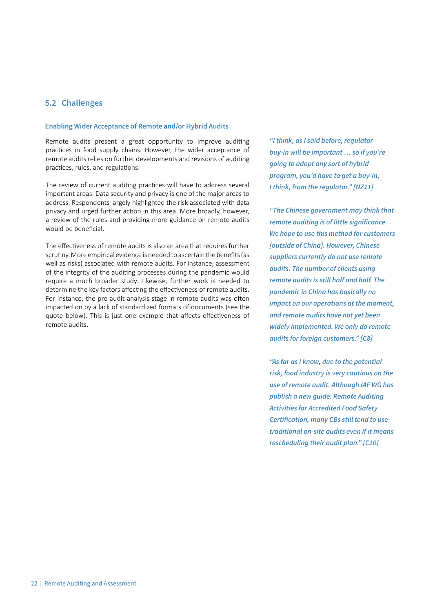#### **5.2 Challenges**

#### **Enabling Wider Acceptance of Remote and/or Hybrid Audits**

Remote audits present a great opportunity to improve auditing practices in food supply chains. However, the wider acceptance of remote audits relies on further developments and revisions of auditing practices, rules, and regulations.

The review of current auditing practices will have to address several important areas. Data security and privacy is one of the major areas to address. Respondents largely highlighted the risk associated with data privacy and urged further action in this area. More broadly, however, a review of the rules and providing more guidance on remote audits would be beneficial.

The effectiveness of remote audits is also an area that requires further scrutiny. More empirical evidence is needed to ascertain the benefits (as well as risks) associated with remote audits. For instance, assessment of the integrity of the auditing processes during the pandemic would require a much broader study. Likewise, further work is needed to determine the key factors affecting the effectiveness of remote audits. For instance, the pre-audit analysis stage in remote audits was often impacted on by a lack of standardized formats of documents (see the quote below). This is just one example that affects effectiveness of remote audits.

*"I think, as I said before, regulator buy-in will be important … so if you're going to adopt any sort of hybrid program, you'd have to get a buy-in, I think, from the regulator." [NZ11]*

*"The Chinese government may think that remote auditing is of little significance. We hope to use this method for customers [outside of China]. However, Chinese suppliers currently do not use remote audits. The number of clients using remote audits is still half and half. The pandemic in China has basically no impact on our operations at the moment, and remote audits have not yet been widely implemented. We only do remote audits for foreign customers." [C8]*

*"As far as I know, due to the potential risk, food industry is very cautious on the use of remote audit. Although IAF WG has publish a new guide: Remote Auditing Activities for Accredited Food Safety Certification, many CBs still tend to use traditional on-site audits even if it means rescheduling their audit plan." [C10]*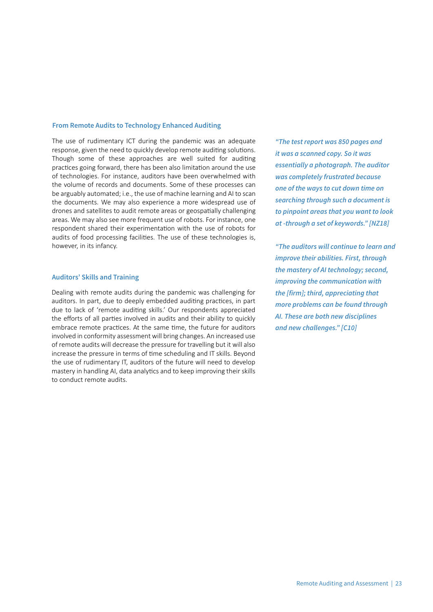#### **From Remote Audits to Technology Enhanced Auditing**

The use of rudimentary ICT during the pandemic was an adequate response, given the need to quickly develop remote auditing solutions. Though some of these approaches are well suited for auditing practices going forward, there has been also limitation around the use of technologies. For instance, auditors have been overwhelmed with the volume of records and documents. Some of these processes can be arguably automated; i.e., the use of machine learning and AI to scan the documents. We may also experience a more widespread use of drones and satellites to audit remote areas or geospatially challenging areas. We may also see more frequent use of robots. For instance, one respondent shared their experimentation with the use of robots for audits of food processing facilities. The use of these technologies is, however, in its infancy.

#### **Auditors' Skills and Training**

Dealing with remote audits during the pandemic was challenging for auditors. In part, due to deeply embedded auditing practices, in part due to lack of 'remote auditing skills.' Our respondents appreciated the efforts of all parties involved in audits and their ability to quickly embrace remote practices. At the same time, the future for auditors involved in conformity assessment will bring changes. An increased use of remote audits will decrease the pressure for travelling but it will also increase the pressure in terms of time scheduling and IT skills. Beyond the use of rudimentary IT, auditors of the future will need to develop mastery in handling AI, data analytics and to keep improving their skills to conduct remote audits.

*"The test report was 850 pages and it was a scanned copy. So it was essentially a photograph. The auditor was completely frustrated because one of the ways to cut down time on searching through such a document is to pinpoint areas that you want to look at -through a set of keywords." [NZ18]*

*"The auditors will continue to learn and improve their abilities. First, through the mastery of AI technology; second, improving the communication with the [firm]; third, appreciating that more problems can be found through AI. These are both new disciplines and new challenges." [C10]*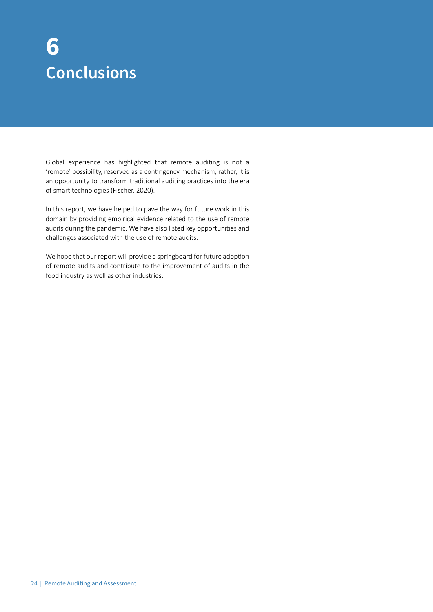### **Conclusions 6**

Global experience has highlighted that remote auditing is not a 'remote' possibility, reserved as a contingency mechanism, rather, it is an opportunity to transform traditional auditing practices into the era of smart technologies (Fischer, 2020).

In this report, we have helped to pave the way for future work in this domain by providing empirical evidence related to the use of remote audits during the pandemic. We have also listed key opportunities and challenges associated with the use of remote audits.

We hope that our report will provide a springboard for future adoption of remote audits and contribute to the improvement of audits in the food industry as well as other industries.